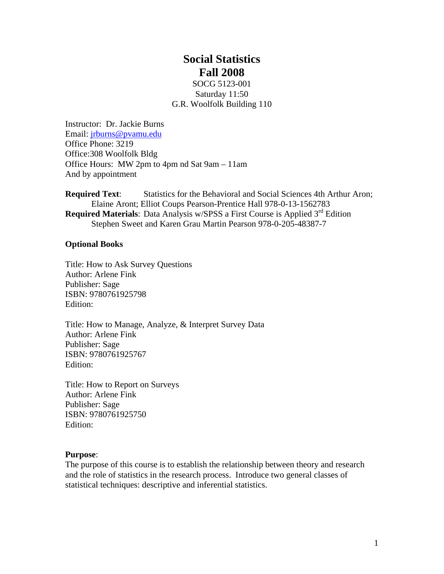# **Social Statistics Fall 2008**

SOCG 5123-001 Saturday 11:50 G.R. Woolfolk Building 110

Instructor: Dr. Jackie Burns Email: [jrburns@pvamu.edu](mailto:jrburns@pvamu.edu) Office Phone: 3219 Office:308 Woolfolk Bldg Office Hours: MW 2pm to 4pm nd Sat 9am – 11am And by appointment

**Required Text:** Statistics for the Behavioral and Social Sciences 4th Arthur Aron; Elaine Aront; Elliot Coups Pearson-Prentice Hall 978-0-13-1562783 **Required Materials**: Data Analysis w/SPSS a First Course is Applied 3<sup>rd</sup> Edition Stephen Sweet and Karen Grau Martin Pearson 978-0-205-48387-7

#### **Optional Books**

Title: How to Ask Survey Questions Author: Arlene Fink Publisher: Sage ISBN: 9780761925798 Edition:

Title: How to Manage, Analyze, & Interpret Survey Data Author: Arlene Fink Publisher: Sage ISBN: 9780761925767 Edition:

Title: How to Report on Surveys Author: Arlene Fink Publisher: Sage ISBN: 9780761925750 Edition:

#### **Purpose**:

The purpose of this course is to establish the relationship between theory and research and the role of statistics in the research process. Introduce two general classes of statistical techniques: descriptive and inferential statistics.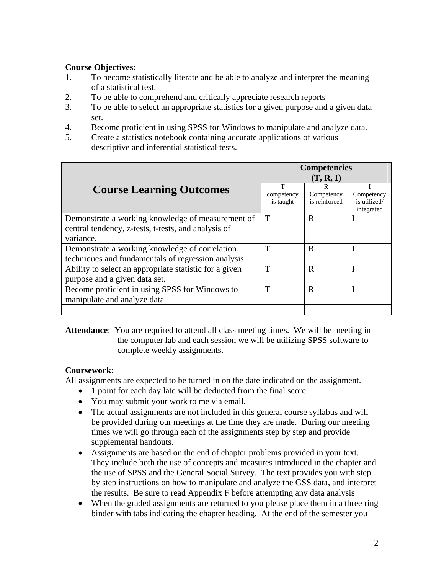#### **Course Objectives**:

- 1. To become statistically literate and be able to analyze and interpret the meaning of a statistical test.
- 2. To be able to comprehend and critically appreciate research reports
- 3. To be able to select an appropriate statistics for a given purpose and a given data set.
- 4. Become proficient in using SPSS for Windows to manipulate and analyze data.
- 5. Create a statistics notebook containing accurate applications of various descriptive and inferential statistical tests.

|                                                                                                                       | <b>Competencies</b><br>(T, R, I) |                             |                                          |
|-----------------------------------------------------------------------------------------------------------------------|----------------------------------|-----------------------------|------------------------------------------|
| <b>Course Learning Outcomes</b>                                                                                       | T<br>competency<br>is taught     | Competency<br>is reinforced | Competency<br>is utilized/<br>integrated |
| Demonstrate a working knowledge of measurement of<br>central tendency, z-tests, t-tests, and analysis of<br>variance. | T                                | R                           |                                          |
| Demonstrate a working knowledge of correlation<br>techniques and fundamentals of regression analysis.                 | T                                | R                           |                                          |
| Ability to select an appropriate statistic for a given<br>purpose and a given data set.                               | T                                | R                           |                                          |
| Become proficient in using SPSS for Windows to<br>manipulate and analyze data.                                        | T                                | R                           |                                          |
|                                                                                                                       |                                  |                             |                                          |

**Attendance**: You are required to attend all class meeting times. We will be meeting in the computer lab and each session we will be utilizing SPSS software to complete weekly assignments.

#### **Coursework:**

All assignments are expected to be turned in on the date indicated on the assignment.

- 1 point for each day late will be deducted from the final score.
	- You may submit your work to me via email.
	- The actual assignments are not included in this general course syllabus and will be provided during our meetings at the time they are made. During our meeting times we will go through each of the assignments step by step and provide supplemental handouts.
	- Assignments are based on the end of chapter problems provided in your text. They include both the use of concepts and measures introduced in the chapter and the use of SPSS and the General Social Survey. The text provides you with step by step instructions on how to manipulate and analyze the GSS data, and interpret the results. Be sure to read Appendix F before attempting any data analysis
	- When the graded assignments are returned to you please place them in a three ring binder with tabs indicating the chapter heading. At the end of the semester you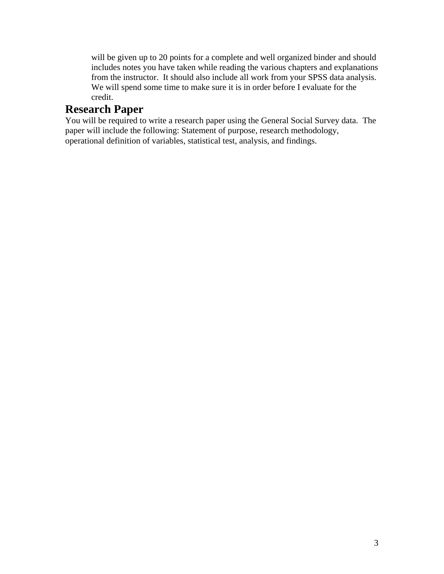will be given up to 20 points for a complete and well organized binder and should includes notes you have taken while reading the various chapters and explanations from the instructor. It should also include all work from your SPSS data analysis. We will spend some time to make sure it is in order before I evaluate for the credit.

## **Research Paper**

You will be required to write a research paper using the General Social Survey data. The paper will include the following: Statement of purpose, research methodology, operational definition of variables, statistical test, analysis, and findings.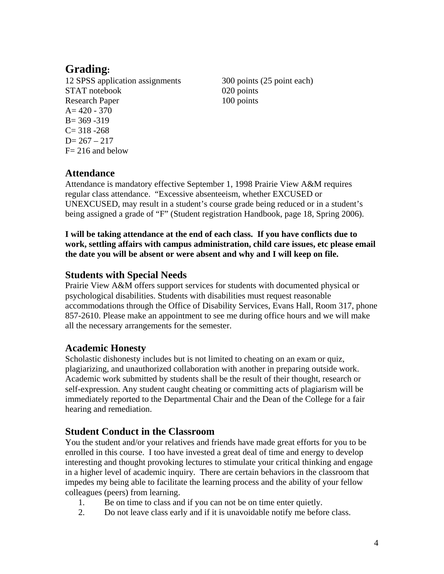# **Grading:**

12 SPSS application assignments 300 points (25 point each) STAT notebook 020 points Research Paper 100 points A= 420 - 370  $B = 369 - 319$  $C = 318 - 268$  $D= 267 - 217$  $F = 216$  and below

### **Attendance**

Attendance is mandatory effective September 1, 1998 Prairie View A&M requires regular class attendance. "Excessive absenteeism, whether EXCUSED or UNEXCUSED, may result in a student's course grade being reduced or in a student's being assigned a grade of "F" (Student registration Handbook, page 18, Spring 2006).

**I will be taking attendance at the end of each class. If you have conflicts due to work, settling affairs with campus administration, child care issues, etc please email the date you will be absent or were absent and why and I will keep on file.** 

#### **Students with Special Needs**

Prairie View A&M offers support services for students with documented physical or psychological disabilities. Students with disabilities must request reasonable accommodations through the Office of Disability Services, Evans Hall, Room 317, phone 857-2610. Please make an appointment to see me during office hours and we will make all the necessary arrangements for the semester.

### **Academic Honesty**

Scholastic dishonesty includes but is not limited to cheating on an exam or quiz, plagiarizing, and unauthorized collaboration with another in preparing outside work. Academic work submitted by students shall be the result of their thought, research or self-expression. Any student caught cheating or committing acts of plagiarism will be immediately reported to the Departmental Chair and the Dean of the College for a fair hearing and remediation.

### **Student Conduct in the Classroom**

You the student and/or your relatives and friends have made great efforts for you to be enrolled in this course. I too have invested a great deal of time and energy to develop interesting and thought provoking lectures to stimulate your critical thinking and engage in a higher level of academic inquiry. There are certain behaviors in the classroom that impedes my being able to facilitate the learning process and the ability of your fellow colleagues (peers) from learning.

- 1. Be on time to class and if you can not be on time enter quietly.
- 2. Do not leave class early and if it is unavoidable notify me before class.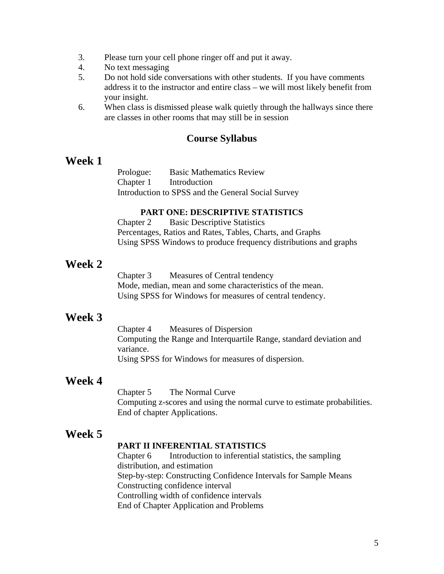- 3. Please turn your cell phone ringer off and put it away.
- 4. No text messaging
- 5. Do not hold side conversations with other students. If you have comments address it to the instructor and entire class – we will most likely benefit from your insight.
- 6. When class is dismissed please walk quietly through the hallways since there are classes in other rooms that may still be in session

#### **Course Syllabus**

#### **Week 1**

Prologue: Basic Mathematics Review Chapter 1 Introduction Introduction to SPSS and the General Social Survey

#### **PART ONE: DESCRIPTIVE STATISTICS**

Chapter 2 Basic Descriptive Statistics Percentages, Ratios and Rates, Tables, Charts, and Graphs Using SPSS Windows to produce frequency distributions and graphs

### **Week 2**

Chapter 3 Measures of Central tendency Mode, median, mean and some characteristics of the mean. Using SPSS for Windows for measures of central tendency.

### **Week 3**

Chapter 4 Measures of Dispersion Computing the Range and Interquartile Range, standard deviation and variance. Using SPSS for Windows for measures of dispersion.

### **Week 4**

Chapter 5 The Normal Curve Computing z-scores and using the normal curve to estimate probabilities. End of chapter Applications.

### **Week 5**

#### **PART II INFERENTIAL STATISTICS**

Chapter 6 Introduction to inferential statistics, the sampling distribution, and estimation Step-by-step: Constructing Confidence Intervals for Sample Means Constructing confidence interval Controlling width of confidence intervals End of Chapter Application and Problems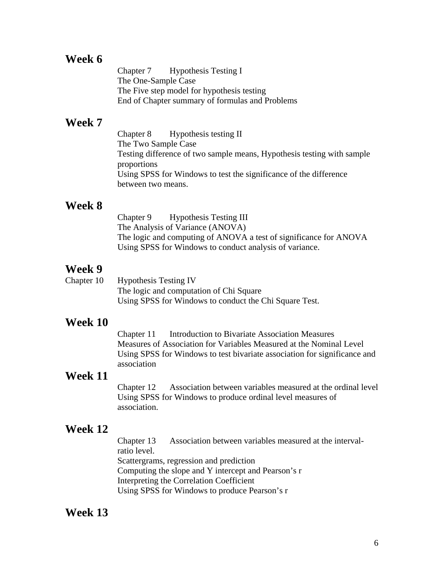### **Week 6**

Chapter 7 Hypothesis Testing I The One-Sample Case The Five step model for hypothesis testing End of Chapter summary of formulas and Problems

#### **Week 7**

Chapter 8 Hypothesis testing II The Two Sample Case Testing difference of two sample means, Hypothesis testing with sample proportions Using SPSS for Windows to test the significance of the difference between two means.

#### **Week 8**

Chapter 9 Hypothesis Testing III The Analysis of Variance (ANOVA) The logic and computing of ANOVA a test of significance for ANOVA Using SPSS for Windows to conduct analysis of variance.

### **Week 9**

| Chapter 10 | <b>Hypothesis Testing IV</b>                           |
|------------|--------------------------------------------------------|
|            | The logic and computation of Chi Square                |
|            | Using SPSS for Windows to conduct the Chi Square Test. |

#### **Week 10**

Chapter 11 Introduction to Bivariate Association Measures Measures of Association for Variables Measured at the Nominal Level Using SPSS for Windows to test bivariate association for significance and association

### **Week 11**

Chapter 12 Association between variables measured at the ordinal level Using SPSS for Windows to produce ordinal level measures of association.

### **Week 12**

Chapter 13 Association between variables measured at the intervalratio level. Scattergrams, regression and prediction Computing the slope and Y intercept and Pearson's r Interpreting the Correlation Coefficient Using SPSS for Windows to produce Pearson's r

### **Week 13**